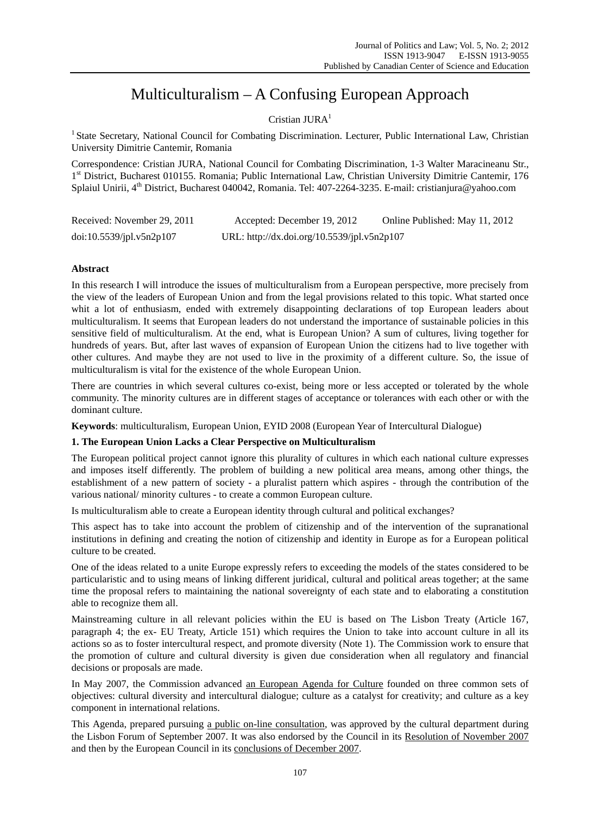# Multiculturalism – A Confusing European Approach

# Cristian  $JURA<sup>1</sup>$

<sup>1</sup> State Secretary, National Council for Combating Discrimination. Lecturer, Public International Law, Christian University Dimitrie Cantemir, Romania

Correspondence: Cristian JURA, National Council for Combating Discrimination, 1-3 Walter Maracineanu Str., 1st District, Bucharest 010155. Romania; Public International Law, Christian University Dimitrie Cantemir, 176 Splaiul Unirii, 4<sup>th</sup> District, Bucharest 040042, Romania. Tel: 407-2264-3235. E-mail: cristianjura@yahoo.com

| Received: November 29, 2011 | Accepted: December 19, 2012                 | Online Published: May 11, 2012 |
|-----------------------------|---------------------------------------------|--------------------------------|
| doi:10.5539/ipl.v5n2p107    | URL: http://dx.doi.org/10.5539/jpl.v5n2p107 |                                |

# **Abstract**

In this research I will introduce the issues of multiculturalism from a European perspective, more precisely from the view of the leaders of European Union and from the legal provisions related to this topic. What started once whit a lot of enthusiasm, ended with extremely disappointing declarations of top European leaders about multiculturalism. It seems that European leaders do not understand the importance of sustainable policies in this sensitive field of multiculturalism. At the end, what is European Union? A sum of cultures, living together for hundreds of years. But, after last waves of expansion of European Union the citizens had to live together with other cultures. And maybe they are not used to live in the proximity of a different culture. So, the issue of multiculturalism is vital for the existence of the whole European Union.

There are countries in which several cultures co-exist, being more or less accepted or tolerated by the whole community. The minority cultures are in different stages of acceptance or tolerances with each other or with the dominant culture.

**Keywords**: multiculturalism, European Union, EYID 2008 (European Year of Intercultural Dialogue)

# **1. The European Union Lacks a Clear Perspective on Multiculturalism**

The European political project cannot ignore this plurality of cultures in which each national culture expresses and imposes itself differently. The problem of building a new political area means, among other things, the establishment of a new pattern of society - a pluralist pattern which aspires - through the contribution of the various national/ minority cultures - to create a common European culture.

Is multiculturalism able to create a European identity through cultural and political exchanges?

This aspect has to take into account the problem of citizenship and of the intervention of the supranational institutions in defining and creating the notion of citizenship and identity in Europe as for a European political culture to be created.

One of the ideas related to a unite Europe expressly refers to exceeding the models of the states considered to be particularistic and to using means of linking different juridical, cultural and political areas together; at the same time the proposal refers to maintaining the national sovereignty of each state and to elaborating a constitution able to recognize them all.

Mainstreaming culture in all relevant policies within the EU is based on The Lisbon Treaty (Article 167, paragraph 4; the ex- EU Treaty, Article 151) which requires the Union to take into account culture in all its actions so as to foster intercultural respect, and promote diversity (Note 1). The Commission work to ensure that the promotion of culture and cultural diversity is given due consideration when all regulatory and financial decisions or proposals are made.

In May 2007, the Commission advanced an European Agenda for Culture founded on three common sets of objectives: cultural diversity and intercultural dialogue; culture as a catalyst for creativity; and culture as a key component in international relations.

This Agenda, prepared pursuing a public on-line consultation, was approved by the cultural department during the Lisbon Forum of September 2007. It was also endorsed by the Council in its Resolution of November 2007 and then by the European Council in its conclusions of December 2007.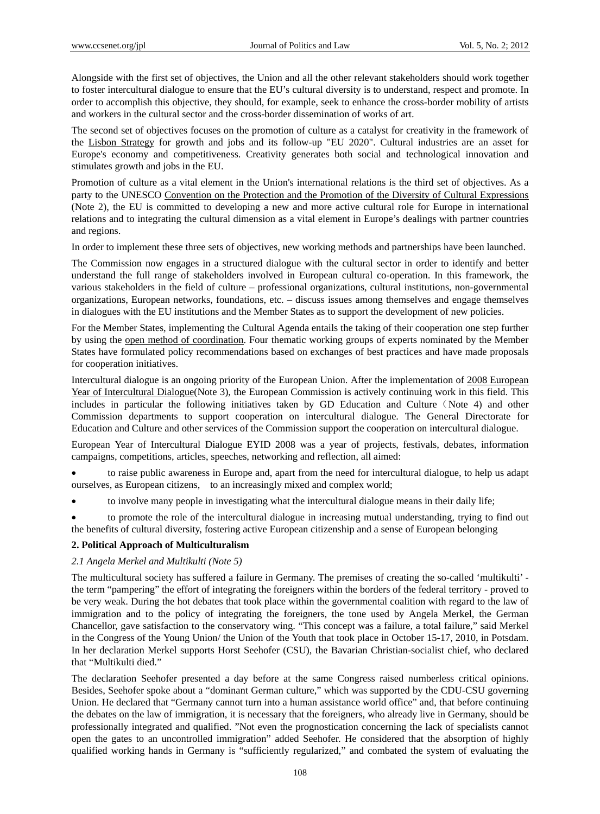Alongside with the first set of objectives, the Union and all the other relevant stakeholders should work together to foster intercultural dialogue to ensure that the EU's cultural diversity is to understand, respect and promote. In order to accomplish this objective, they should, for example, seek to enhance the cross-border mobility of artists and workers in the cultural sector and the cross-border dissemination of works of art.

The second set of objectives focuses on the promotion of culture as a catalyst for creativity in the framework of the Lisbon Strategy for growth and jobs and its follow-up "EU 2020". Cultural industries are an asset for Europe's economy and competitiveness. Creativity generates both social and technological innovation and stimulates growth and jobs in the EU.

Promotion of culture as a vital element in the Union's international relations is the third set of objectives. As a party to the UNESCO Convention on the Protection and the Promotion of the Diversity of Cultural Expressions (Note 2), the EU is committed to developing a new and more active cultural role for Europe in international relations and to integrating the cultural dimension as a vital element in Europe's dealings with partner countries and regions.

In order to implement these three sets of objectives, new working methods and partnerships have been launched.

The Commission now engages in a structured dialogue with the cultural sector in order to identify and better understand the full range of stakeholders involved in European cultural co-operation. In this framework, the various stakeholders in the field of culture – professional organizations, cultural institutions, non-governmental organizations, European networks, foundations, etc. – discuss issues among themselves and engage themselves in dialogues with the EU institutions and the Member States as to support the development of new policies.

For the Member States, implementing the Cultural Agenda entails the taking of their cooperation one step further by using the open method of coordination. Four thematic working groups of experts nominated by the Member States have formulated policy recommendations based on exchanges of best practices and have made proposals for cooperation initiatives.

Intercultural dialogue is an ongoing priority of the European Union. After the implementation of 2008 European Year of Intercultural Dialogue(Note 3), the European Commission is actively continuing work in this field. This includes in particular the following initiatives taken by GD Education and Culture (Note 4) and other Commission departments to support cooperation on intercultural dialogue. The General Directorate for Education and Culture and other services of the Commission support the cooperation on intercultural dialogue.

European Year of Intercultural Dialogue EYID 2008 was a year of projects, festivals, debates, information campaigns, competitions, articles, speeches, networking and reflection, all aimed:

 to raise public awareness in Europe and, apart from the need for intercultural dialogue, to help us adapt ourselves, as European citizens, to an increasingly mixed and complex world;

to involve many people in investigating what the intercultural dialogue means in their daily life;

 to promote the role of the intercultural dialogue in increasing mutual understanding, trying to find out the benefits of cultural diversity, fostering active European citizenship and a sense of European belonging

# **2. Political Approach of Multiculturalism**

# *2.1 Angela Merkel and Multikulti (Note 5)*

The multicultural society has suffered a failure in Germany. The premises of creating the so-called 'multikulti' the term "pampering" the effort of integrating the foreigners within the borders of the federal territory - proved to be very weak. During the hot debates that took place within the governmental coalition with regard to the law of immigration and to the policy of integrating the foreigners, the tone used by Angela Merkel, the German Chancellor, gave satisfaction to the conservatory wing. "This concept was a failure, a total failure," said Merkel in the Congress of the Young Union/ the Union of the Youth that took place in October 15-17, 2010, in Potsdam. In her declaration Merkel supports Horst Seehofer (CSU), the Bavarian Christian-socialist chief, who declared that "Multikulti died."

The declaration Seehofer presented a day before at the same Congress raised numberless critical opinions. Besides, Seehofer spoke about a "dominant German culture," which was supported by the CDU-CSU governing Union. He declared that "Germany cannot turn into a human assistance world office" and, that before continuing the debates on the law of immigration, it is necessary that the foreigners, who already live in Germany, should be professionally integrated and qualified. "Not even the prognostication concerning the lack of specialists cannot open the gates to an uncontrolled immigration" added Seehofer. He considered that the absorption of highly qualified working hands in Germany is "sufficiently regularized," and combated the system of evaluating the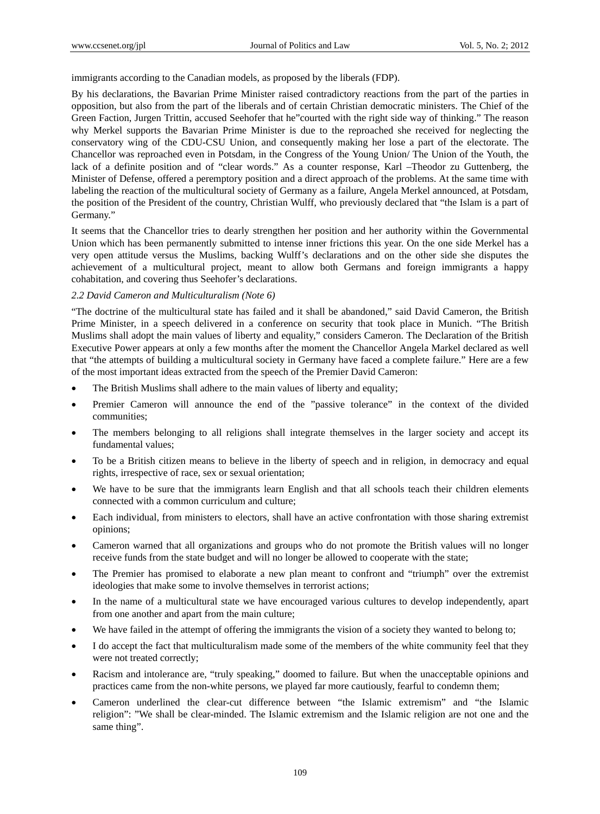immigrants according to the Canadian models, as proposed by the liberals (FDP).

By his declarations, the Bavarian Prime Minister raised contradictory reactions from the part of the parties in opposition, but also from the part of the liberals and of certain Christian democratic ministers. The Chief of the Green Faction, Jurgen Trittin, accused Seehofer that he"courted with the right side way of thinking." The reason why Merkel supports the Bavarian Prime Minister is due to the reproached she received for neglecting the conservatory wing of the CDU-CSU Union, and consequently making her lose a part of the electorate. The Chancellor was reproached even in Potsdam, in the Congress of the Young Union/ The Union of the Youth, the lack of a definite position and of "clear words." As a counter response, Karl –Theodor zu Guttenberg, the Minister of Defense, offered a peremptory position and a direct approach of the problems. At the same time with labeling the reaction of the multicultural society of Germany as a failure, Angela Merkel announced, at Potsdam, the position of the President of the country, Christian Wulff, who previously declared that "the Islam is a part of Germany."

It seems that the Chancellor tries to dearly strengthen her position and her authority within the Governmental Union which has been permanently submitted to intense inner frictions this year. On the one side Merkel has a very open attitude versus the Muslims, backing Wulff's declarations and on the other side she disputes the achievement of a multicultural project, meant to allow both Germans and foreign immigrants a happy cohabitation, and covering thus Seehofer's declarations.

# *2.2 David Cameron and Multiculturalism (Note 6)*

"The doctrine of the multicultural state has failed and it shall be abandoned," said David Cameron, the British Prime Minister, in a speech delivered in a conference on security that took place in Munich. "The British Muslims shall adopt the main values of liberty and equality," considers Cameron. The Declaration of the British Executive Power appears at only a few months after the moment the Chancellor Angela Markel declared as well that "the attempts of building a multicultural society in Germany have faced a complete failure." Here are a few of the most important ideas extracted from the speech of the Premier David Cameron:

- The British Muslims shall adhere to the main values of liberty and equality;
- Premier Cameron will announce the end of the "passive tolerance" in the context of the divided communities;
- The members belonging to all religions shall integrate themselves in the larger society and accept its fundamental values;
- To be a British citizen means to believe in the liberty of speech and in religion, in democracy and equal rights, irrespective of race, sex or sexual orientation;
- We have to be sure that the immigrants learn English and that all schools teach their children elements connected with a common curriculum and culture;
- Each individual, from ministers to electors, shall have an active confrontation with those sharing extremist opinions;
- Cameron warned that all organizations and groups who do not promote the British values will no longer receive funds from the state budget and will no longer be allowed to cooperate with the state;
- The Premier has promised to elaborate a new plan meant to confront and "triumph" over the extremist ideologies that make some to involve themselves in terrorist actions;
- In the name of a multicultural state we have encouraged various cultures to develop independently, apart from one another and apart from the main culture;
- We have failed in the attempt of offering the immigrants the vision of a society they wanted to belong to;
- I do accept the fact that multiculturalism made some of the members of the white community feel that they were not treated correctly;
- Racism and intolerance are, "truly speaking," doomed to failure. But when the unacceptable opinions and practices came from the non-white persons, we played far more cautiously, fearful to condemn them;
- Cameron underlined the clear-cut difference between "the Islamic extremism" and "the Islamic religion": "We shall be clear-minded. The Islamic extremism and the Islamic religion are not one and the same thing".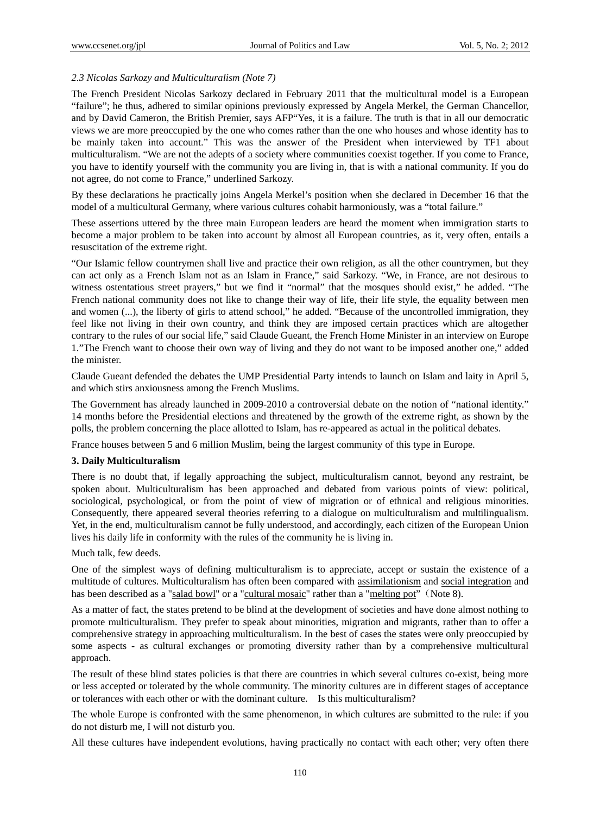# *2.3 Nicolas Sarkozy and Multiculturalism (Note 7)*

The French President Nicolas Sarkozy declared in February 2011 that the multicultural model is a European "failure"; he thus, adhered to similar opinions previously expressed by Angela Merkel, the German Chancellor, and by David Cameron, the British Premier, says AFP"Yes, it is a failure. The truth is that in all our democratic views we are more preoccupied by the one who comes rather than the one who houses and whose identity has to be mainly taken into account." This was the answer of the President when interviewed by TF1 about multiculturalism. "We are not the adepts of a society where communities coexist together. If you come to France, you have to identify yourself with the community you are living in, that is with a national community. If you do not agree, do not come to France," underlined Sarkozy.

By these declarations he practically joins Angela Merkel's position when she declared in December 16 that the model of a multicultural Germany, where various cultures cohabit harmoniously, was a "total failure."

These assertions uttered by the three main European leaders are heard the moment when immigration starts to become a major problem to be taken into account by almost all European countries, as it, very often, entails a resuscitation of the extreme right.

"Our Islamic fellow countrymen shall live and practice their own religion, as all the other countrymen, but they can act only as a French Islam not as an Islam in France," said Sarkozy. "We, in France, are not desirous to witness ostentatious street prayers," but we find it "normal" that the mosques should exist," he added. "The French national community does not like to change their way of life, their life style, the equality between men and women (...), the liberty of girls to attend school," he added. "Because of the uncontrolled immigration, they feel like not living in their own country, and think they are imposed certain practices which are altogether contrary to the rules of our social life," said Claude Gueant, the French Home Minister in an interview on Europe 1."The French want to choose their own way of living and they do not want to be imposed another one," added the minister.

Claude Gueant defended the debates the UMP Presidential Party intends to launch on Islam and laity in April 5, and which stirs anxiousness among the French Muslims.

The Government has already launched in 2009-2010 a controversial debate on the notion of "national identity." 14 months before the Presidential elections and threatened by the growth of the extreme right, as shown by the polls, the problem concerning the place allotted to Islam, has re-appeared as actual in the political debates.

France houses between 5 and 6 million Muslim, being the largest community of this type in Europe.

# **3. Daily Multiculturalism**

There is no doubt that, if legally approaching the subject, multiculturalism cannot, beyond any restraint, be spoken about. Multiculturalism has been approached and debated from various points of view: political, sociological, psychological, or from the point of view of migration or of ethnical and religious minorities. Consequently, there appeared several theories referring to a dialogue on multiculturalism and multilingualism. Yet, in the end, multiculturalism cannot be fully understood, and accordingly, each citizen of the European Union lives his daily life in conformity with the rules of the community he is living in.

Much talk, few deeds.

One of the simplest ways of defining multiculturalism is to appreciate, accept or sustain the existence of a multitude of cultures. Multiculturalism has often been compared with assimilationism and social integration and has been described as a "salad bowl" or a "cultural mosaic" rather than a "melting pot" (Note 8).

As a matter of fact, the states pretend to be blind at the development of societies and have done almost nothing to promote multiculturalism. They prefer to speak about minorities, migration and migrants, rather than to offer a comprehensive strategy in approaching multiculturalism. In the best of cases the states were only preoccupied by some aspects - as cultural exchanges or promoting diversity rather than by a comprehensive multicultural approach.

The result of these blind states policies is that there are countries in which several cultures co-exist, being more or less accepted or tolerated by the whole community. The minority cultures are in different stages of acceptance or tolerances with each other or with the dominant culture. Is this multiculturalism?

The whole Europe is confronted with the same phenomenon, in which cultures are submitted to the rule: if you do not disturb me, I will not disturb you.

All these cultures have independent evolutions, having practically no contact with each other; very often there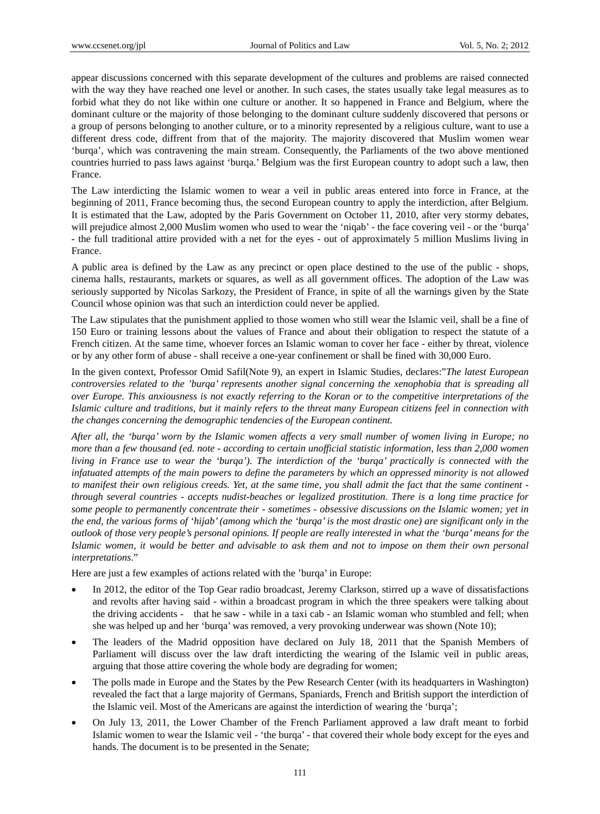appear discussions concerned with this separate development of the cultures and problems are raised connected with the way they have reached one level or another. In such cases, the states usually take legal measures as to forbid what they do not like within one culture or another. It so happened in France and Belgium, where the dominant culture or the majority of those belonging to the dominant culture suddenly discovered that persons or a group of persons belonging to another culture, or to a minority represented by a religious culture, want to use a different dress code, diffrent from that of the majority. The majority discovered that Muslim women wear 'burqa', which was contravening the main stream. Consequently, the Parliaments of the two above mentioned countries hurried to pass laws against 'burqa.' Belgium was the first European country to adopt such a law, then France.

The Law interdicting the Islamic women to wear a veil in public areas entered into force in France, at the beginning of 2011, France becoming thus, the second European country to apply the interdiction, after Belgium. It is estimated that the Law, adopted by the Paris Government on October 11, 2010, after very stormy debates, will prejudice almost 2,000 Muslim women who used to wear the 'niqab' - the face covering veil - or the 'burqa' - the full traditional attire provided with a net for the eyes - out of approximately 5 million Muslims living in France.

A public area is defined by the Law as any precinct or open place destined to the use of the public - shops, cinema halls, restaurants, markets or squares, as well as all government offices. The adoption of the Law was seriously supported by Nicolas Sarkozy, the President of France, in spite of all the warnings given by the State Council whose opinion was that such an interdiction could never be applied.

The Law stipulates that the punishment applied to those women who still wear the Islamic veil, shall be a fine of 150 Euro or training lessons about the values of France and about their obligation to respect the statute of a French citizen. At the same time, whoever forces an Islamic woman to cover her face - either by threat, violence or by any other form of abuse - shall receive a one-year confinement or shall be fined with 30,000 Euro.

In the given context, Professor Omid Safil(Note 9), an expert in Islamic Studies, declares:"*The latest European controversies related to the 'burqa' represents another signal concerning the xenophobia that is spreading all over Europe. This anxiousness is not exactly referring to the Koran or to the competitive interpretations of the Islamic culture and traditions, but it mainly refers to the threat many European citizens feel in connection with the changes concerning the demographic tendencies of the European continent.* 

*After all, the 'burqa' worn by the Islamic women affects a very small number of women living in Europe; no more than a few thousand (ed. note - according to certain unofficial statistic information, less than 2,000 women living in France use to wear the 'burqa')*. *The interdiction of the 'burqa' practically is connected with the infatuated attempts of the main powers to define the parameters by which an oppressed minority is not allowed to manifest their own religious creeds. Yet, at the same time, you shall admit the fact that the same continent through several countries - accepts nudist-beaches or legalized prostitution. There is a long time practice for some people to permanently concentrate their - sometimes - obsessive discussions on the Islamic women; yet in the end, the various forms of 'hijab' (among which the 'burqa' is the most drastic one) are significant only in the outlook of those very people's personal opinions. If people are really interested in what the 'burqa' means for the Islamic women, it would be better and advisable to ask them and not to impose on them their own personal interpretations*."

Here are just a few examples of actions related with the 'burqa' in Europe:

- In 2012, the editor of the Top Gear radio broadcast, Jeremy Clarkson, stirred up a wave of dissatisfactions and revolts after having said - within a broadcast program in which the three speakers were talking about the driving accidents - that he saw - while in a taxi cab - an Islamic woman who stumbled and fell; when she was helped up and her 'burqa' was removed, a very provoking underwear was shown (Note 10);
- The leaders of the Madrid opposition have declared on July 18, 2011 that the Spanish Members of Parliament will discuss over the law draft interdicting the wearing of the Islamic veil in public areas, arguing that those attire covering the whole body are degrading for women;
- The polls made in Europe and the States by the Pew Research Center (with its headquarters in Washington) revealed the fact that a large majority of Germans, Spaniards, French and British support the interdiction of the Islamic veil. Most of the Americans are against the interdiction of wearing the 'burqa';
- On July 13, 2011, the Lower Chamber of the French Parliament approved a law draft meant to forbid Islamic women to wear the Islamic veil - 'the burqa' - that covered their whole body except for the eyes and hands. The document is to be presented in the Senate;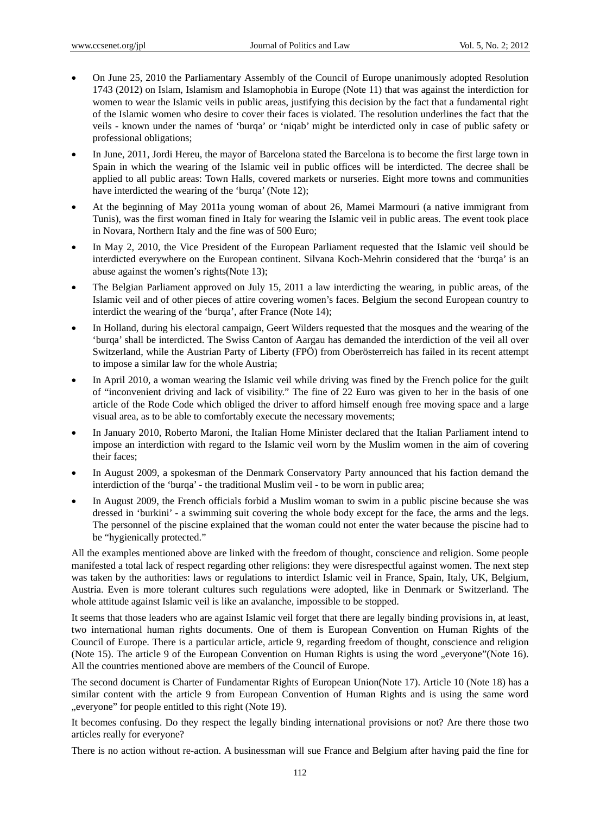- On June 25, 2010 the Parliamentary Assembly of the Council of Europe unanimously adopted Resolution 1743 (2012) on Islam, Islamism and Islamophobia in Europe (Note 11) that was against the interdiction for women to wear the Islamic veils in public areas, justifying this decision by the fact that a fundamental right of the Islamic women who desire to cover their faces is violated. The resolution underlines the fact that the veils - known under the names of 'burqa' or 'niqab' might be interdicted only in case of public safety or professional obligations;
- In June, 2011, Jordi Hereu, the mayor of Barcelona stated the Barcelona is to become the first large town in Spain in which the wearing of the Islamic veil in public offices will be interdicted. The decree shall be applied to all public areas: Town Halls, covered markets or nurseries. Eight more towns and communities have interdicted the wearing of the 'burqa' (Note 12);
- At the beginning of May 2011a young woman of about 26, Mamei Marmouri (a native immigrant from Tunis), was the first woman fined in Italy for wearing the Islamic veil in public areas. The event took place in Novara, Northern Italy and the fine was of 500 Euro;
- In May 2, 2010, the Vice President of the European Parliament requested that the Islamic veil should be interdicted everywhere on the European continent. Silvana Koch-Mehrin considered that the 'burqa' is an abuse against the women's rights(Note 13);
- The Belgian Parliament approved on July 15, 2011 a law interdicting the wearing, in public areas, of the Islamic veil and of other pieces of attire covering women's faces. Belgium the second European country to interdict the wearing of the 'burqa', after France (Note 14);
- In Holland, during his electoral campaign, Geert Wilders requested that the mosques and the wearing of the 'burqa' shall be interdicted. The Swiss Canton of Aargau has demanded the interdiction of the veil all over Switzerland, while the Austrian Party of Liberty (FPÖ) from Oberösterreich has failed in its recent attempt to impose a similar law for the whole Austria;
- In April 2010, a woman wearing the Islamic veil while driving was fined by the French police for the guilt of "inconvenient driving and lack of visibility." The fine of 22 Euro was given to her in the basis of one article of the Rode Code which obliged the driver to afford himself enough free moving space and a large visual area, as to be able to comfortably execute the necessary movements;
- In January 2010, Roberto Maroni, the Italian Home Minister declared that the Italian Parliament intend to impose an interdiction with regard to the Islamic veil worn by the Muslim women in the aim of covering their faces;
- In August 2009, a spokesman of the Denmark Conservatory Party announced that his faction demand the interdiction of the 'burqa' - the traditional Muslim veil - to be worn in public area;
- In August 2009, the French officials forbid a Muslim woman to swim in a public piscine because she was dressed in 'burkini' - a swimming suit covering the whole body except for the face, the arms and the legs. The personnel of the piscine explained that the woman could not enter the water because the piscine had to be "hygienically protected."

All the examples mentioned above are linked with the freedom of thought, conscience and religion. Some people manifested a total lack of respect regarding other religions: they were disrespectful against women. The next step was taken by the authorities: laws or regulations to interdict Islamic veil in France, Spain, Italy, UK, Belgium, Austria. Even is more tolerant cultures such regulations were adopted, like in Denmark or Switzerland. The whole attitude against Islamic veil is like an avalanche, impossible to be stopped.

It seems that those leaders who are against Islamic veil forget that there are legally binding provisions in, at least, two international human rights documents. One of them is European Convention on Human Rights of the Council of Europe. There is a particular article, article 9, regarding freedom of thought, conscience and religion (Note 15). The article 9 of the European Convention on Human Rights is using the word "everyone"(Note 16). All the countries mentioned above are members of the Council of Europe.

The second document is Charter of Fundamentar Rights of European Union(Note 17). Article 10 (Note 18) has a similar content with the article 9 from European Convention of Human Rights and is using the same word "everyone" for people entitled to this right (Note 19).

It becomes confusing. Do they respect the legally binding international provisions or not? Are there those two articles really for everyone?

There is no action without re-action. A businessman will sue France and Belgium after having paid the fine for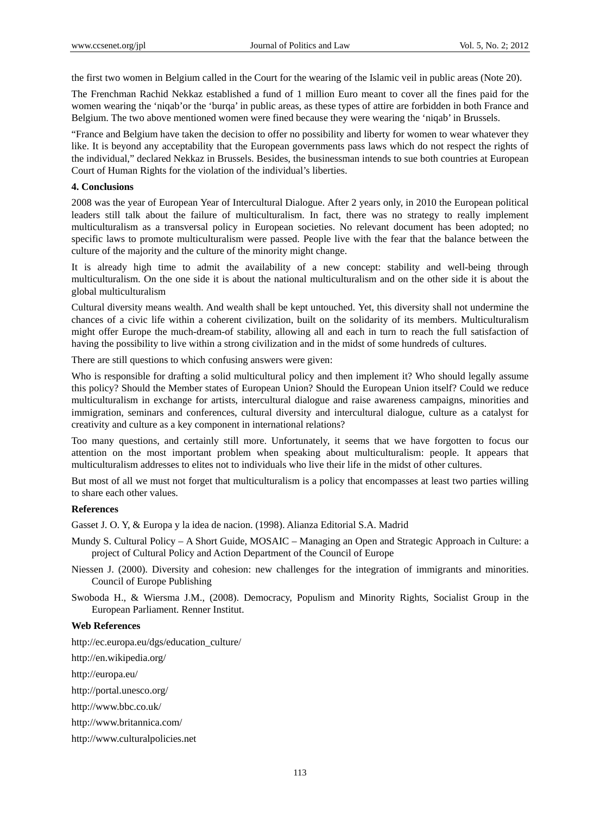the first two women in Belgium called in the Court for the wearing of the Islamic veil in public areas (Note 20).

The Frenchman Rachid Nekkaz established a fund of 1 million Euro meant to cover all the fines paid for the women wearing the 'niqab'or the 'burqa' in public areas, as these types of attire are forbidden in both France and Belgium. The two above mentioned women were fined because they were wearing the 'niqab' in Brussels.

"France and Belgium have taken the decision to offer no possibility and liberty for women to wear whatever they like. It is beyond any acceptability that the European governments pass laws which do not respect the rights of the individual," declared Nekkaz in Brussels. Besides, the businessman intends to sue both countries at European Court of Human Rights for the violation of the individual's liberties.

# **4. Conclusions**

2008 was the year of European Year of Intercultural Dialogue. After 2 years only, in 2010 the European political leaders still talk about the failure of multiculturalism. In fact, there was no strategy to really implement multiculturalism as a transversal policy in European societies. No relevant document has been adopted; no specific laws to promote multiculturalism were passed. People live with the fear that the balance between the culture of the majority and the culture of the minority might change.

It is already high time to admit the availability of a new concept: stability and well-being through multiculturalism. On the one side it is about the national multiculturalism and on the other side it is about the global multiculturalism

Cultural diversity means wealth. And wealth shall be kept untouched. Yet, this diversity shall not undermine the chances of a civic life within a coherent civilization, built on the solidarity of its members. Multiculturalism might offer Europe the much-dream-of stability, allowing all and each in turn to reach the full satisfaction of having the possibility to live within a strong civilization and in the midst of some hundreds of cultures.

There are still questions to which confusing answers were given:

Who is responsible for drafting a solid multicultural policy and then implement it? Who should legally assume this policy? Should the Member states of European Union? Should the European Union itself? Could we reduce multiculturalism in exchange for artists, intercultural dialogue and raise awareness campaigns, minorities and immigration, seminars and conferences, cultural diversity and intercultural dialogue, culture as a catalyst for creativity and culture as a key component in international relations?

Too many questions, and certainly still more. Unfortunately, it seems that we have forgotten to focus our attention on the most important problem when speaking about multiculturalism: people. It appears that multiculturalism addresses to elites not to individuals who live their life in the midst of other cultures.

But most of all we must not forget that multiculturalism is a policy that encompasses at least two parties willing to share each other values.

# **References**

Gasset J. O. Y, & Europa y la idea de nacion. (1998). Alianza Editorial S.A. Madrid

- Mundy S. Cultural Policy A Short Guide, MOSAIC Managing an Open and Strategic Approach in Culture: a project of Cultural Policy and Action Department of the Council of Europe
- Niessen J. (2000). Diversity and cohesion: new challenges for the integration of immigrants and minorities. Council of Europe Publishing
- Swoboda H., & Wiersma J.M., (2008). Democracy, Populism and Minority Rights, Socialist Group in the European Parliament. Renner Institut.

# **Web References**

http://ec.europa.eu/dgs/education\_culture/

http://en.wikipedia.org/

http://europa.eu/

http://portal.unesco.org/

http://www.bbc.co.uk/

http://www.britannica.com/

http://www.culturalpolicies.net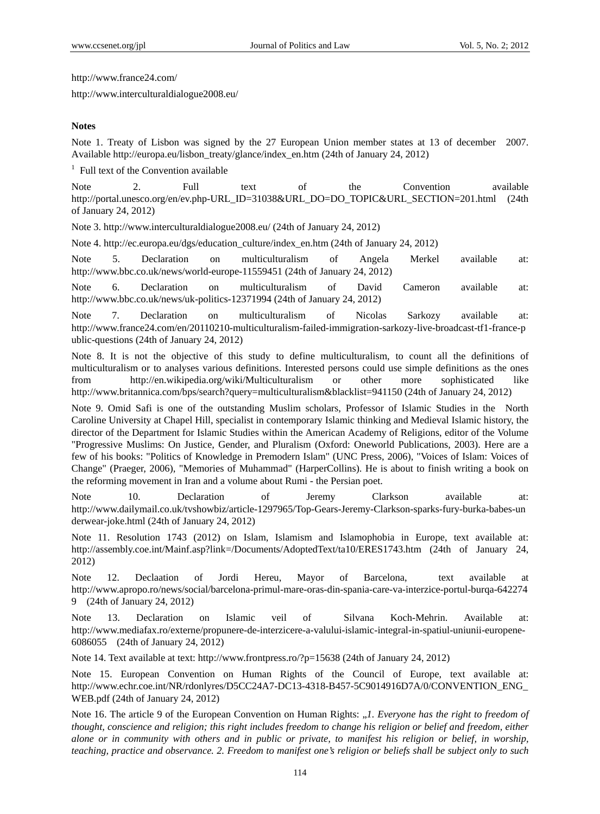http://www.france24.com/

http://www.interculturaldialogue2008.eu/

#### **Notes**

Note 1. Treaty of Lisbon was signed by the 27 European Union member states at 13 of december 2007. Available http://europa.eu/lisbon\_treaty/glance/index\_en.htm (24th of January 24, 2012)

<sup>1</sup> Full text of the Convention available

Note 2. Full text of the Convention available http://portal.unesco.org/en/ev.php-URL\_ID=31038&URL\_DO=DO\_TOPIC&URL\_SECTION=201.html (24th of January 24, 2012)

Note 3. http://www.interculturaldialogue2008.eu/ (24th of January 24, 2012)

Note 4. http://ec.europa.eu/dgs/education\_culture/index\_en.htm (24th of January 24, 2012)

Note 5. Declaration on multiculturalism of Angela Merkel available at: http://www.bbc.co.uk/news/world-europe-11559451 (24th of January 24, 2012)

Note 6. Declaration on multiculturalism of David Cameron available at: http://www.bbc.co.uk/news/uk-politics-12371994 (24th of January 24, 2012)

Note 7. Declaration on multiculturalism of Nicolas Sarkozy available at: http://www.france24.com/en/20110210-multiculturalism-failed-immigration-sarkozy-live-broadcast-tf1-france-p ublic-questions (24th of January 24, 2012)

Note 8. It is not the objective of this study to define multiculturalism, to count all the definitions of multiculturalism or to analyses various definitions. Interested persons could use simple definitions as the ones from http://en.wikipedia.org/wiki/Multiculturalism or other more sophisticated like http://www.britannica.com/bps/search?query=multiculturalism&blacklist=941150 (24th of January 24, 2012)

Note 9. Omid Safi is one of the outstanding Muslim scholars, Professor of Islamic Studies in the North Caroline University at Chapel Hill, specialist in contemporary Islamic thinking and Medieval Islamic history, the director of the Department for Islamic Studies within the American Academy of Religions, editor of the Volume "Progressive Muslims: On Justice, Gender, and Pluralism (Oxford: Oneworld Publications, 2003). Here are a few of his books: "Politics of Knowledge in Premodern Islam" (UNC Press, 2006), "Voices of Islam: Voices of Change" (Praeger, 2006), "Memories of Muhammad" (HarperCollins). He is about to finish writing a book on the reforming movement in Iran and a volume about Rumi - the Persian poet.

Note 10. Declaration of Jeremy Clarkson available at: http://www.dailymail.co.uk/tvshowbiz/article-1297965/Top-Gears-Jeremy-Clarkson-sparks-fury-burka-babes-un derwear-joke.html (24th of January 24, 2012)

Note 11. Resolution 1743 (2012) on Islam, Islamism and Islamophobia in Europe, text available at: http://assembly.coe.int/Mainf.asp?link=/Documents/AdoptedText/ta10/ERES1743.htm (24th of January 24, 2012)

Note 12. Declaation of Jordi Hereu, Mayor of Barcelona, text available at http://www.apropo.ro/news/social/barcelona-primul-mare-oras-din-spania-care-va-interzice-portul-burqa-642274 9 (24th of January 24, 2012)

Note 13. Declaration on Islamic veil of Silvana Koch-Mehrin. Available at: http://www.mediafax.ro/externe/propunere-de-interzicere-a-valului-islamic-integral-in-spatiul-uniunii-europene-6086055 (24th of January 24, 2012)

Note 14. Text available at text: http://www.frontpress.ro/?p=15638 (24th of January 24, 2012)

Note 15. European Convention on Human Rights of the Council of Europe, text available at: http://www.echr.coe.int/NR/rdonlyres/D5CC24A7-DC13-4318-B457-5C9014916D7A/0/CONVENTION\_ENG\_ WEB.pdf (24th of January 24, 2012)

Note 16. The article 9 of the European Convention on Human Rights: "*1. Everyone has the right to freedom of thought, conscience and religion; this right includes freedom to change his religion or belief and freedom, either alone or in community with others and in public or private, to manifest his religion or belief, in worship, teaching, practice and observance. 2. Freedom to manifest one's religion or beliefs shall be subject only to such*